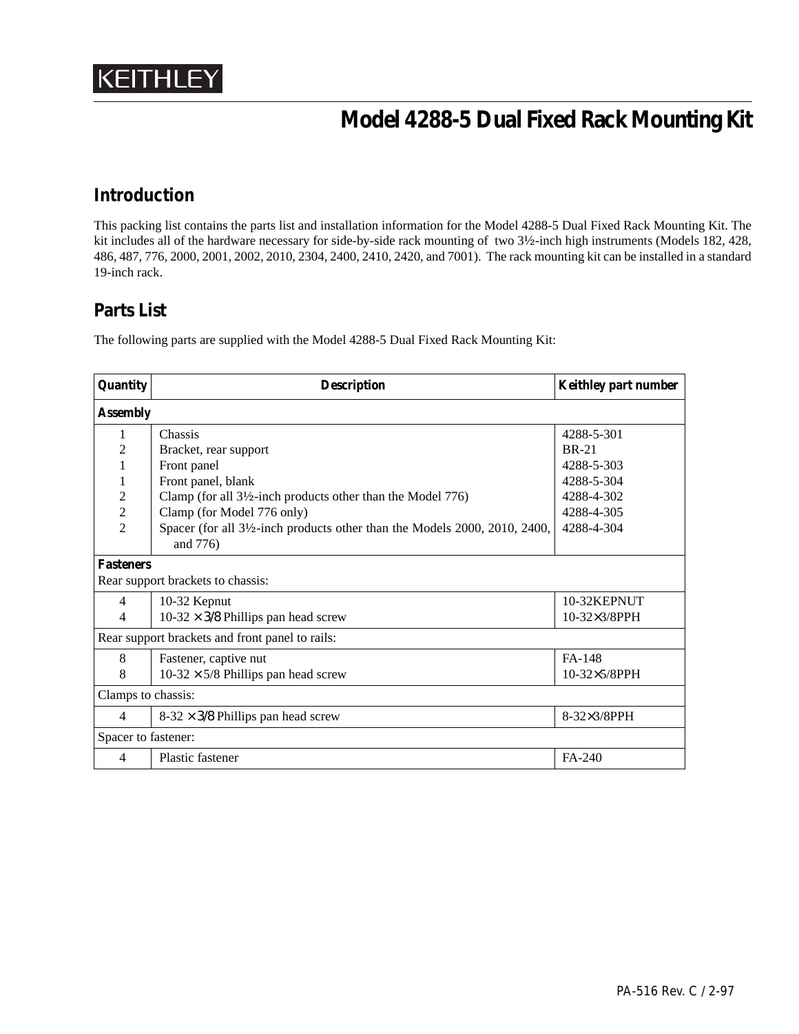

# **Model 4288-5 Dual Fixed Rack Mounting Kit**

## **Introduction**

This packing list contains the parts list and installation information for the Model 4288-5 Dual Fixed Rack Mounting Kit. The kit includes all of the hardware necessary for side-by-side rack mounting of two 3½-inch high instruments (Models 182, 428, 486, 487, 776, 2000, 2001, 2002, 2010, 2304, 2400, 2410, 2420, and 7001). The rack mounting kit can be installed in a standard 19-inch rack.

### **Parts List**

The following parts are supplied with the Model 4288-5 Dual Fixed Rack Mounting Kit:

| Quantity                                        | <b>Description</b>                                                       | <b>Keithley part number</b> |
|-------------------------------------------------|--------------------------------------------------------------------------|-----------------------------|
| <b>Assembly</b>                                 |                                                                          |                             |
| 1                                               | Chassis                                                                  | 4288-5-301                  |
| 2                                               | Bracket, rear support                                                    | <b>BR-21</b>                |
|                                                 | Front panel                                                              | 4288-5-303                  |
|                                                 | Front panel, blank                                                       | 4288-5-304                  |
| $\overline{2}$                                  | Clamp (for all $3\frac{1}{2}$ -inch products other than the Model 776)   | 4288-4-302                  |
| $\overline{2}$                                  | Clamp (for Model 776 only)                                               | 4288-4-305                  |
| $\mathcal{D}_{\mathcal{L}}$                     | Spacer (for all 3½-inch products other than the Models 2000, 2010, 2400, | 4288-4-304                  |
|                                                 | and 776)                                                                 |                             |
| <b>Fasteners</b>                                |                                                                          |                             |
| Rear support brackets to chassis:               |                                                                          |                             |
| 4                                               | 10-32 Kepnut                                                             | 10-32KEPNUT                 |
| 4                                               | $10-32 \times 3/8$ Phillips pan head screw                               | $10-32\times3/8$ PPH        |
| Rear support brackets and front panel to rails: |                                                                          |                             |
| 8                                               | Fastener, captive nut                                                    | FA-148                      |
| 8                                               | $10-32 \times 5/8$ Phillips pan head screw                               | 10-32×5/8PPH                |
| Clamps to chassis:                              |                                                                          |                             |
| 4                                               | $8-32 \times 3/8$ Phillips pan head screw                                | 8-32×3/8PPH                 |
| Spacer to fastener:                             |                                                                          |                             |
| 4                                               | Plastic fastener                                                         | FA-240                      |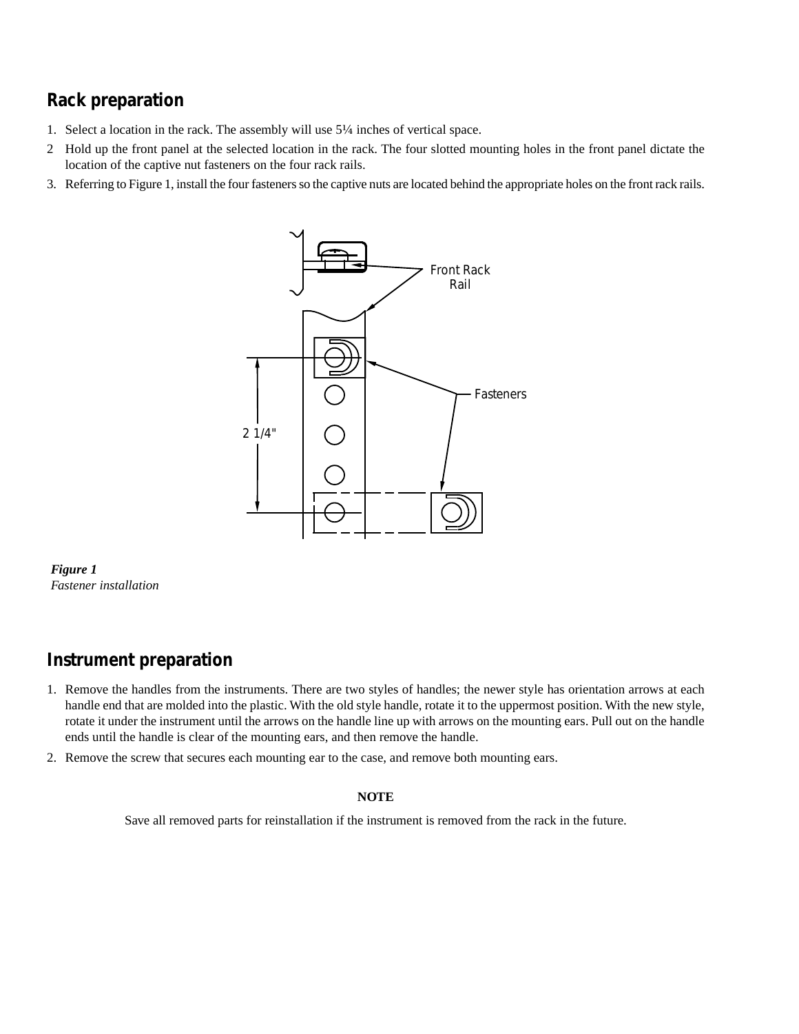# **Rack preparation**

- 1. Select a location in the rack. The assembly will use 5¼ inches of vertical space.
- 2 Hold up the front panel at the selected location in the rack. The four slotted mounting holes in the front panel dictate the location of the captive nut fasteners on the four rack rails.
- 3. Referring to Figure 1, install the four fasteners so the captive nuts are located behind the appropriate holes on the front rack rails.



*Figure 1 Fastener installation*

### **Instrument preparation**

- 1. Remove the handles from the instruments. There are two styles of handles; the newer style has orientation arrows at each handle end that are molded into the plastic. With the old style handle, rotate it to the uppermost position. With the new style, rotate it under the instrument until the arrows on the handle line up with arrows on the mounting ears. Pull out on the handle ends until the handle is clear of the mounting ears, and then remove the handle.
- 2. Remove the screw that secures each mounting ear to the case, and remove both mounting ears.

#### **NOTE**

Save all removed parts for reinstallation if the instrument is removed from the rack in the future.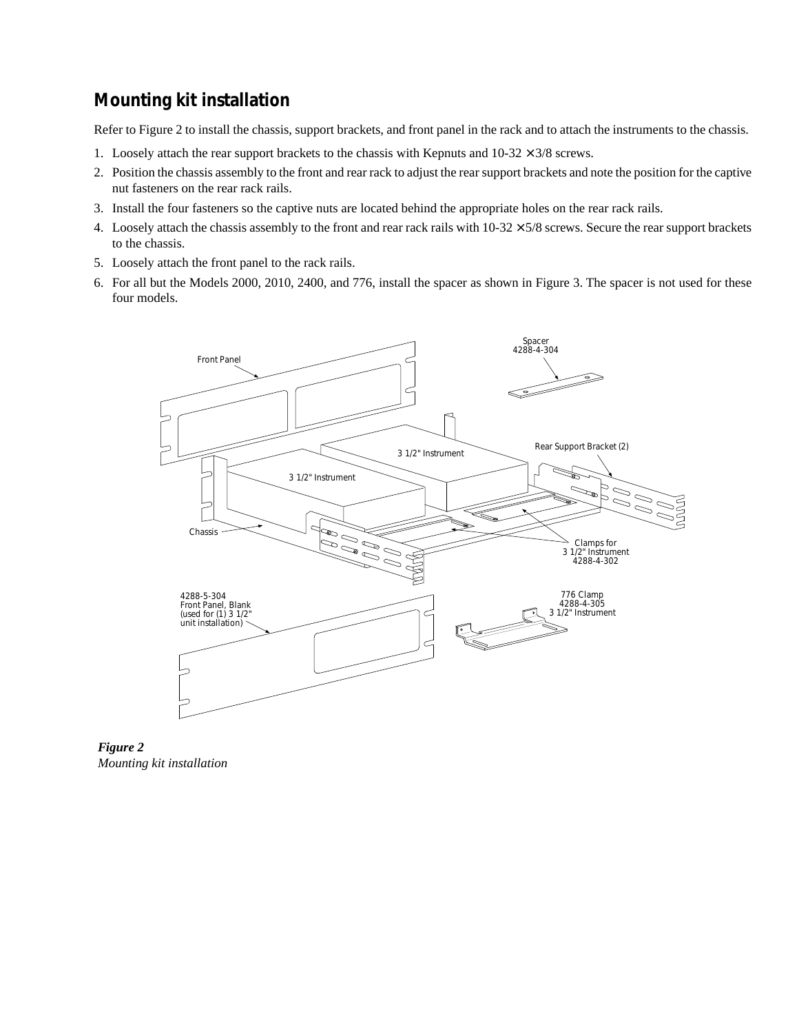# **Mounting kit installation**

Refer to Figure 2 to install the chassis, support brackets, and front panel in the rack and to attach the instruments to the chassis.

- 1. Loosely attach the rear support brackets to the chassis with Kepnuts and  $10-32 \times 3/8$  screws.
- 2. Position the chassis assembly to the front and rear rack to adjust the rear support brackets and note the position for the captive nut fasteners on the rear rack rails.
- 3. Install the four fasteners so the captive nuts are located behind the appropriate holes on the rear rack rails.
- 4. Loosely attach the chassis assembly to the front and rear rack rails with  $10-32 \times 5/8$  screws. Secure the rear support brackets to the chassis.
- 5. Loosely attach the front panel to the rack rails.
- 6. For all but the Models 2000, 2010, 2400, and 776, install the spacer as shown in Figure 3. The spacer is not used for these four models.



*Figure 2 Mounting kit installation*